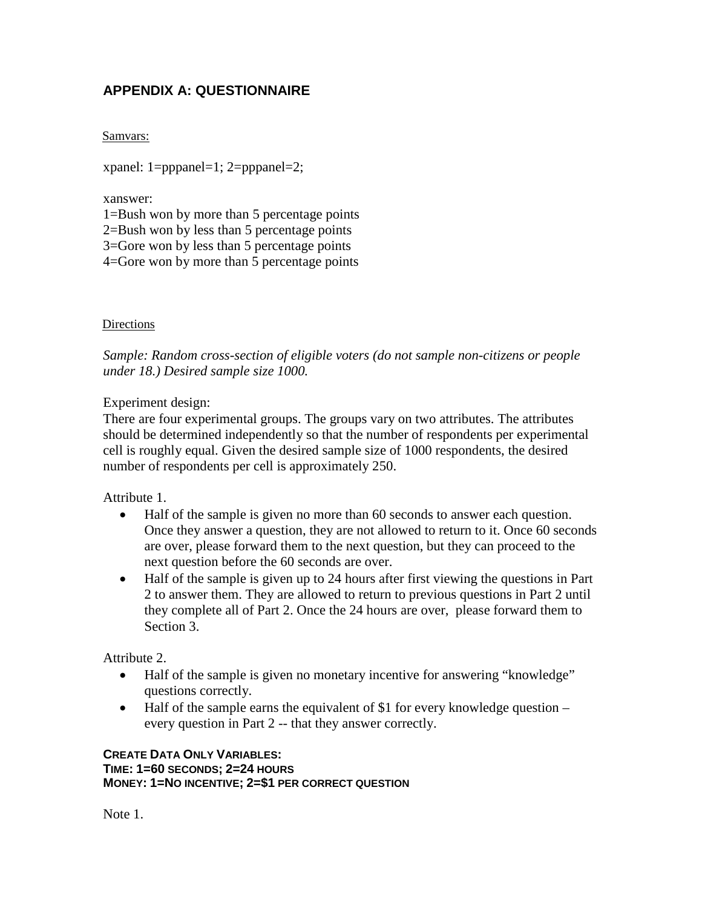# **APPENDIX A: QUESTIONNAIRE**

Samvars:

xpanel: 1=pppanel=1; 2=pppanel=2;

xanswer:

1=Bush won by more than 5 percentage points

2=Bush won by less than 5 percentage points

3=Gore won by less than 5 percentage points

4=Gore won by more than 5 percentage points

### Directions

*Sample: Random cross-section of eligible voters (do not sample non-citizens or people under 18.) Desired sample size 1000.*

Experiment design:

There are four experimental groups. The groups vary on two attributes. The attributes should be determined independently so that the number of respondents per experimental cell is roughly equal. Given the desired sample size of 1000 respondents, the desired number of respondents per cell is approximately 250.

Attribute 1.

- Half of the sample is given no more than 60 seconds to answer each question. Once they answer a question, they are not allowed to return to it. Once 60 seconds are over, please forward them to the next question, but they can proceed to the next question before the 60 seconds are over.
- Half of the sample is given up to 24 hours after first viewing the questions in Part 2 to answer them. They are allowed to return to previous questions in Part 2 until they complete all of Part 2. Once the 24 hours are over, please forward them to Section 3.

Attribute 2.

- Half of the sample is given no monetary incentive for answering "knowledge" questions correctly.
- Half of the sample earns the equivalent of \$1 for every knowledge question  $$ every question in Part 2 -- that they answer correctly.

#### **CREATE DATA ONLY VARIABLES: TIME: 1=60 SECONDS; 2=24 HOURS MONEY: 1=NO INCENTIVE; 2=\$1 PER CORRECT QUESTION**

Note 1.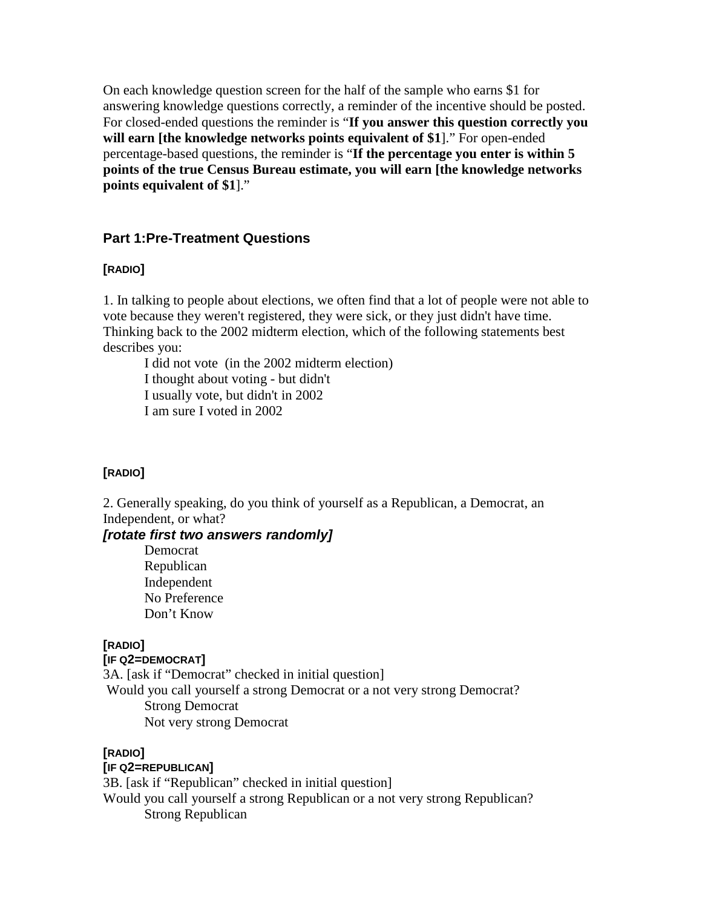On each knowledge question screen for the half of the sample who earns \$1 for answering knowledge questions correctly, a reminder of the incentive should be posted. For closed-ended questions the reminder is "**If you answer this question correctly you will earn [the knowledge networks points equivalent of \$1**]." For open-ended percentage-based questions, the reminder is "**If the percentage you enter is within 5 points of the true Census Bureau estimate, you will earn [the knowledge networks points equivalent of \$1**]."

### **Part 1:Pre-Treatment Questions**

### **[RADIO]**

1. In talking to people about elections, we often find that a lot of people were not able to vote because they weren't registered, they were sick, or they just didn't have time. Thinking back to the 2002 midterm election, which of the following statements best describes you:

I did not vote (in the 2002 midterm election) I thought about voting - but didn't I usually vote, but didn't in 2002 I am sure I voted in 2002

### **[RADIO]**

2. Generally speaking, do you think of yourself as a Republican, a Democrat, an Independent, or what?

### *[rotate first two answers randomly]*

Democrat Republican Independent No Preference Don't Know

### **[RADIO]**

#### **[IF Q2=DEMOCRAT]**

3A. [ask if "Democrat" checked in initial question] Would you call yourself a strong Democrat or a not very strong Democrat? Strong Democrat Not very strong Democrat

#### **[RADIO]**

#### **[IF Q2=REPUBLICAN]**

3B. [ask if "Republican" checked in initial question] Would you call yourself a strong Republican or a not very strong Republican? Strong Republican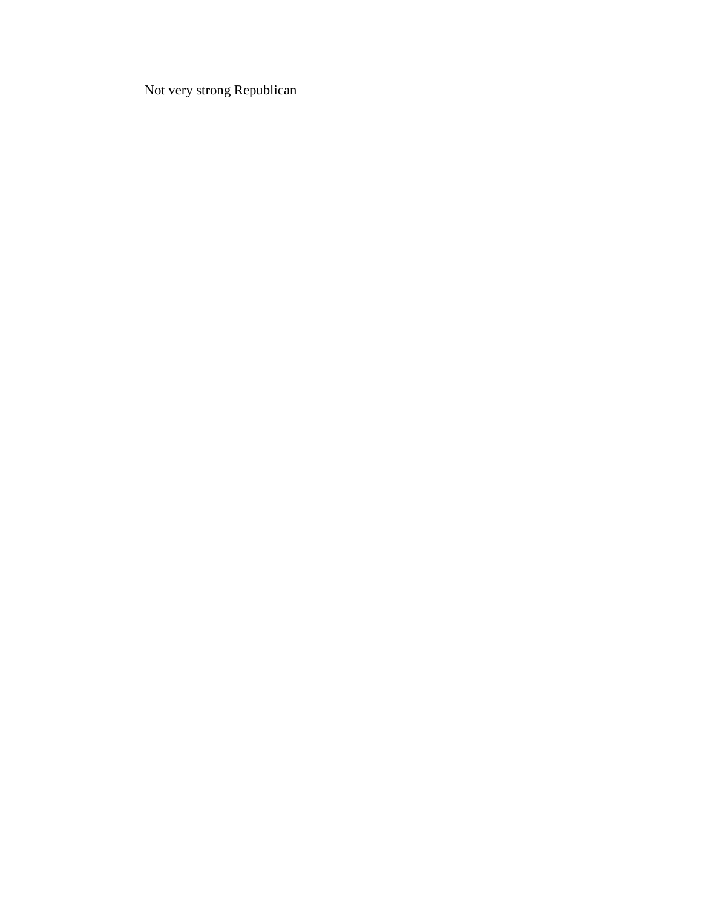Not very strong Republican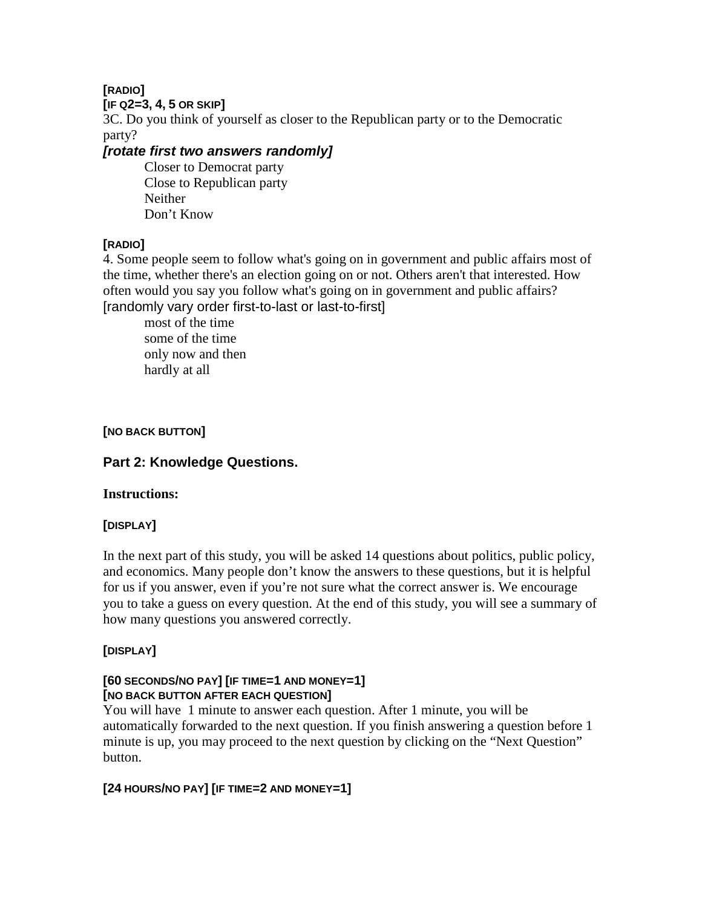### **[IF Q2=3, 4, 5 OR SKIP]**

3C. Do you think of yourself as closer to the Republican party or to the Democratic party?

# *[rotate first two answers randomly]*

Closer to Democrat party Close to Republican party Neither Don't Know

# **[RADIO]**

4. Some people seem to follow what's going on in government and public affairs most of the time, whether there's an election going on or not. Others aren't that interested. How often would you say you follow what's going on in government and public affairs? [randomly vary order first-to-last or last-to-first]

most of the time some of the time only now and then hardly at all

# **[NO BACK BUTTON]**

# **Part 2: Knowledge Questions.**

# **Instructions:**

# **[DISPLAY]**

In the next part of this study, you will be asked 14 questions about politics, public policy, and economics. Many people don't know the answers to these questions, but it is helpful for us if you answer, even if you're not sure what the correct answer is. We encourage you to take a guess on every question. At the end of this study, you will see a summary of how many questions you answered correctly.

# **[DISPLAY]**

## **[60 SECONDS/NO PAY] [IF TIME=1 AND MONEY=1] [NO BACK BUTTON AFTER EACH QUESTION]**

You will have 1 minute to answer each question. After 1 minute, you will be automatically forwarded to the next question. If you finish answering a question before 1 minute is up, you may proceed to the next question by clicking on the "Next Question" button.

# **[24 HOURS/NO PAY] [IF TIME=2 AND MONEY=1]**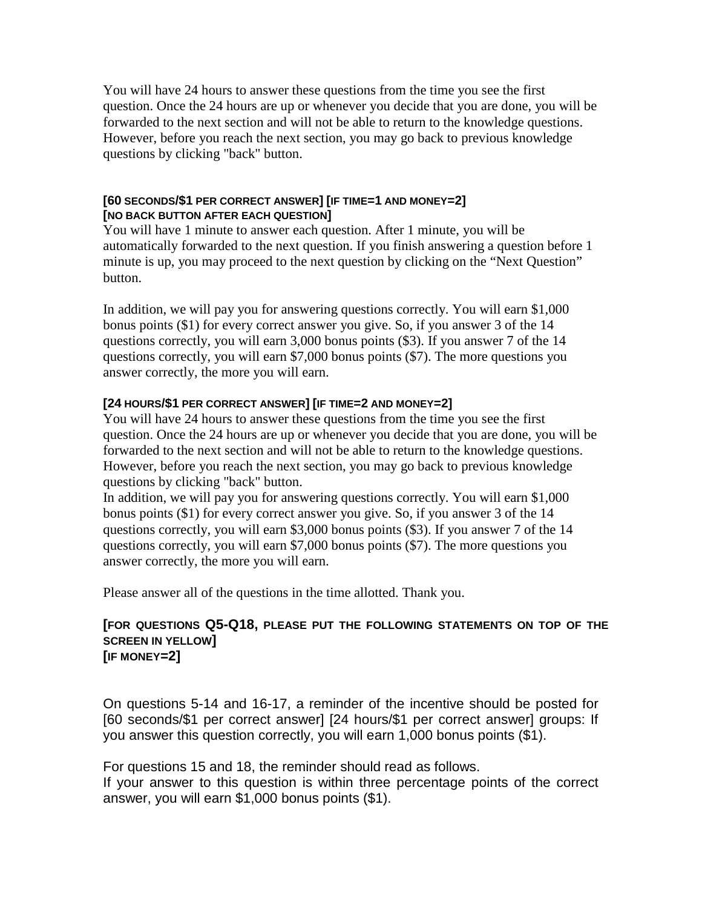You will have 24 hours to answer these questions from the time you see the first question. Once the 24 hours are up or whenever you decide that you are done, you will be forwarded to the next section and will not be able to return to the knowledge questions. However, before you reach the next section, you may go back to previous knowledge questions by clicking "back" button.

### **[60 SECONDS/\$1 PER CORRECT ANSWER] [IF TIME=1 AND MONEY=2] [NO BACK BUTTON AFTER EACH QUESTION]**

You will have 1 minute to answer each question. After 1 minute, you will be automatically forwarded to the next question. If you finish answering a question before 1 minute is up, you may proceed to the next question by clicking on the "Next Question" button.

In addition, we will pay you for answering questions correctly. You will earn \$1,000 bonus points (\$1) for every correct answer you give. So, if you answer 3 of the 14 questions correctly, you will earn 3,000 bonus points (\$3). If you answer 7 of the 14 questions correctly, you will earn \$7,000 bonus points (\$7). The more questions you answer correctly, the more you will earn.

## **[24 HOURS/\$1 PER CORRECT ANSWER] [IF TIME=2 AND MONEY=2]**

You will have 24 hours to answer these questions from the time you see the first question. Once the 24 hours are up or whenever you decide that you are done, you will be forwarded to the next section and will not be able to return to the knowledge questions. However, before you reach the next section, you may go back to previous knowledge questions by clicking "back" button.

In addition, we will pay you for answering questions correctly. You will earn \$1,000 bonus points (\$1) for every correct answer you give. So, if you answer 3 of the 14 questions correctly, you will earn \$3,000 bonus points (\$3). If you answer 7 of the 14 questions correctly, you will earn \$7,000 bonus points (\$7). The more questions you answer correctly, the more you will earn.

Please answer all of the questions in the time allotted. Thank you.

### **[FOR QUESTIONS Q5-Q18, PLEASE PUT THE FOLLOWING STATEMENTS ON TOP OF THE SCREEN IN YELLOW] [IF MONEY=2]**

On questions 5-14 and 16-17, a reminder of the incentive should be posted for [60 seconds/\$1 per correct answer] [24 hours/\$1 per correct answer] groups: If you answer this question correctly, you will earn 1,000 bonus points (\$1).

For questions 15 and 18, the reminder should read as follows.

If your answer to this question is within three percentage points of the correct answer, you will earn \$1,000 bonus points (\$1).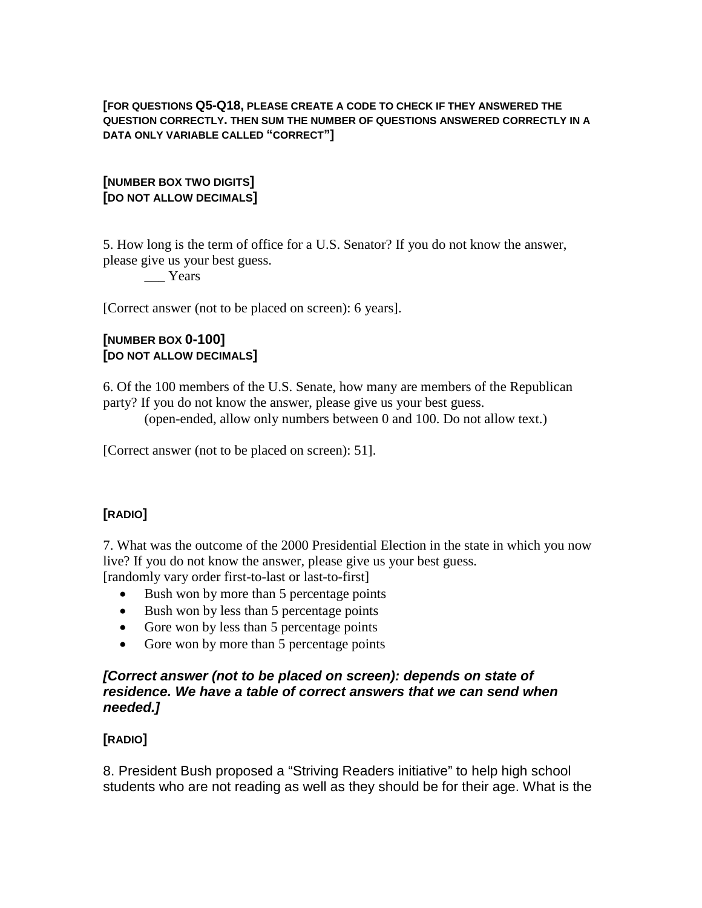#### **[FOR QUESTIONS Q5-Q18, PLEASE CREATE A CODE TO CHECK IF THEY ANSWERED THE QUESTION CORRECTLY. THEN SUM THE NUMBER OF QUESTIONS ANSWERED CORRECTLY IN A DATA ONLY VARIABLE CALLED "CORRECT"]**

## **[NUMBER BOX TWO DIGITS] [DO NOT ALLOW DECIMALS]**

5. How long is the term of office for a U.S. Senator? If you do not know the answer, please give us your best guess.

### \_\_\_ Years

[Correct answer (not to be placed on screen): 6 years].

## **[NUMBER BOX 0-100] [DO NOT ALLOW DECIMALS]**

6. Of the 100 members of the U.S. Senate, how many are members of the Republican party? If you do not know the answer, please give us your best guess.

(open-ended, allow only numbers between 0 and 100. Do not allow text.)

[Correct answer (not to be placed on screen): 51].

# **[RADIO]**

7. What was the outcome of the 2000 Presidential Election in the state in which you now live? If you do not know the answer, please give us your best guess. [randomly vary order first-to-last or last-to-first]

- Bush won by more than 5 percentage points
- Bush won by less than 5 percentage points
- Gore won by less than 5 percentage points
- Gore won by more than 5 percentage points

### *[Correct answer (not to be placed on screen): depends on state of residence. We have a table of correct answers that we can send when needed.]*

## **[RADIO]**

8. President Bush proposed a "Striving Readers initiative" to help high school students who are not reading as well as they should be for their age. What is the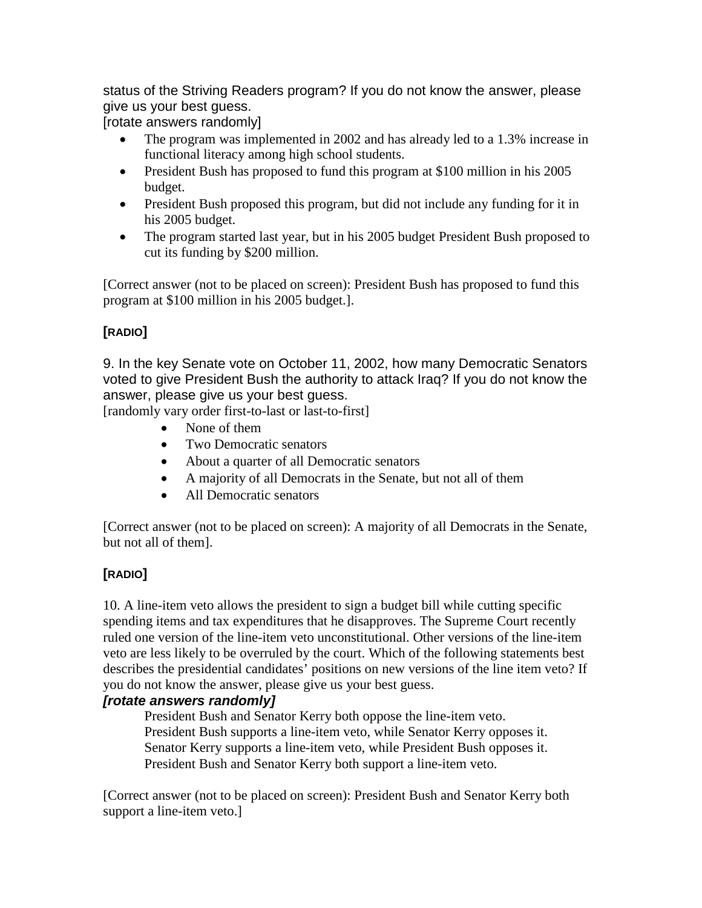status of the Striving Readers program? If you do not know the answer, please give us your best guess.

[rotate answers randomly]

- The program was implemented in 2002 and has already led to a 1.3% increase in functional literacy among high school students.
- President Bush has proposed to fund this program at \$100 million in his 2005 budget.
- President Bush proposed this program, but did not include any funding for it in his 2005 budget.
- The program started last year, but in his 2005 budget President Bush proposed to cut its funding by \$200 million.

[Correct answer (not to be placed on screen): President Bush has proposed to fund this program at \$100 million in his 2005 budget.].

# **[RADIO]**

9. In the key Senate vote on October 11, 2002, how many Democratic Senators voted to give President Bush the authority to attack Iraq? If you do not know the answer, please give us your best guess.

[randomly vary order first-to-last or last-to-first]

- None of them
- Two Democratic senators
- About a quarter of all Democratic senators
- A majority of all Democrats in the Senate, but not all of them
- All Democratic senators

[Correct answer (not to be placed on screen): A majority of all Democrats in the Senate, but not all of them].

# **[RADIO]**

10. A line-item veto allows the president to sign a budget bill while cutting specific spending items and tax expenditures that he disapproves. The Supreme Court recently ruled one version of the line-item veto unconstitutional. Other versions of the line-item veto are less likely to be overruled by the court. Which of the following statements best describes the presidential candidates' positions on new versions of the line item veto? If you do not know the answer, please give us your best guess.

## *[rotate answers randomly]*

President Bush and Senator Kerry both oppose the line-item veto. President Bush supports a line-item veto, while Senator Kerry opposes it. Senator Kerry supports a line-item veto, while President Bush opposes it. President Bush and Senator Kerry both support a line-item veto.

[Correct answer (not to be placed on screen): President Bush and Senator Kerry both support a line-item veto.]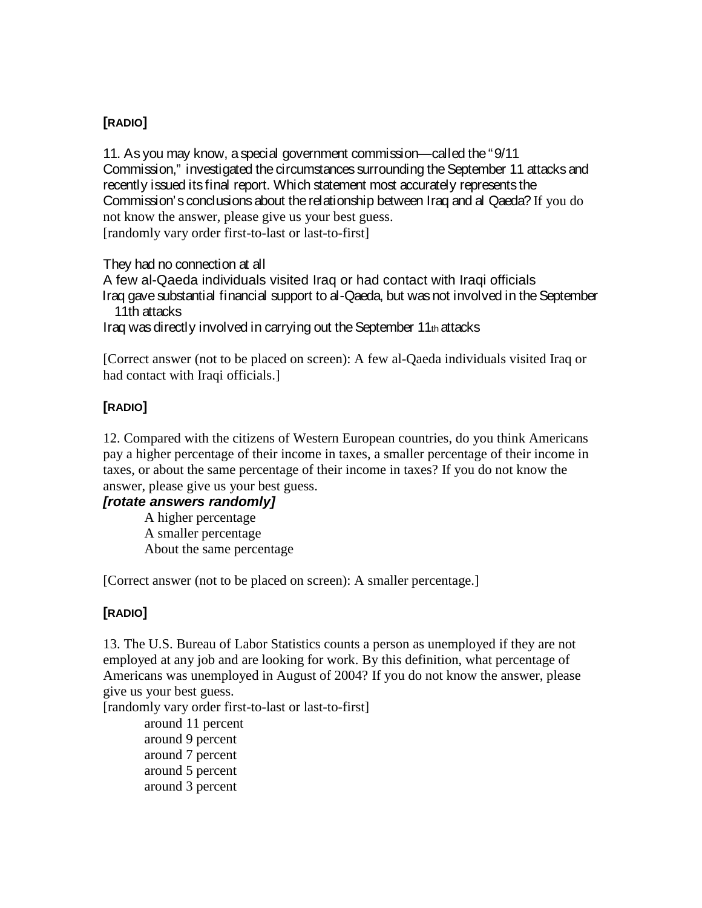11. As you may know, a special government commission—called the "9/11 Commission," investigated the circumstances surrounding the September 11 attacks and recently issued its final report. Which statement most accurately represents the Commission's conclusions about the relationship between Iraq and al Qaeda? If you do not know the answer, please give us your best guess. [randomly vary order first-to-last or last-to-first]

They had no connection at all

A few al-Qaeda individuals visited Iraq or had contact with Iraqi officials Iraq gave substantial financial support to al-Qaeda, but was not involved in the September 11th attacks

Iraq was directly involved in carrying out the September 11th attacks

[Correct answer (not to be placed on screen): A few al-Qaeda individuals visited Iraq or had contact with Iraqi officials.]

# **[RADIO]**

12. Compared with the citizens of Western European countries, do you think Americans pay a higher percentage of their income in taxes, a smaller percentage of their income in taxes, or about the same percentage of their income in taxes? If you do not know the answer, please give us your best guess.

## *[rotate answers randomly]*

A higher percentage A smaller percentage About the same percentage

[Correct answer (not to be placed on screen): A smaller percentage.]

# **[RADIO]**

13. The U.S. Bureau of Labor Statistics counts a person as unemployed if they are not employed at any job and are looking for work. By this definition, what percentage of Americans was unemployed in August of 2004? If you do not know the answer, please give us your best guess.

[randomly vary order first-to-last or last-to-first]

around 11 percent around 9 percent around 7 percent around 5 percent around 3 percent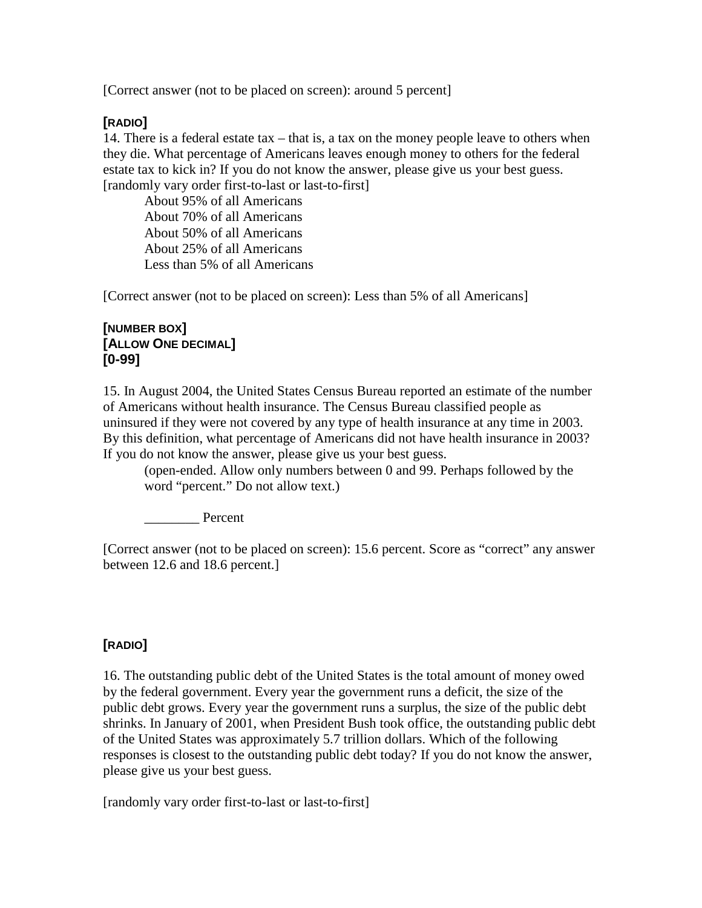[Correct answer (not to be placed on screen): around 5 percent]

## **[RADIO]**

14. There is a federal estate tax – that is, a tax on the money people leave to others when they die. What percentage of Americans leaves enough money to others for the federal estate tax to kick in? If you do not know the answer, please give us your best guess. [randomly vary order first-to-last or last-to-first]

About 95% of all Americans About 70% of all Americans About 50% of all Americans About 25% of all Americans Less than 5% of all Americans

[Correct answer (not to be placed on screen): Less than 5% of all Americans]

## **[NUMBER BOX] [ALLOW ONE DECIMAL] [0-99]**

15. In August 2004, the United States Census Bureau reported an estimate of the number of Americans without health insurance. The Census Bureau classified people as uninsured if they were not covered by any type of health insurance at any time in 2003. By this definition, what percentage of Americans did not have health insurance in 2003? If you do not know the answer, please give us your best guess.

(open-ended. Allow only numbers between 0 and 99. Perhaps followed by the word "percent." Do not allow text.)

Percent

[Correct answer (not to be placed on screen): 15.6 percent. Score as "correct" any answer between 12.6 and 18.6 percent.]

# **[RADIO]**

16. The outstanding public debt of the United States is the total amount of money owed by the federal government. Every year the government runs a deficit, the size of the public debt grows. Every year the government runs a surplus, the size of the public debt shrinks. In January of 2001, when President Bush took office, the outstanding public debt of the United States was approximately 5.7 trillion dollars. Which of the following responses is closest to the outstanding public debt today? If you do not know the answer, please give us your best guess.

[randomly vary order first-to-last or last-to-first]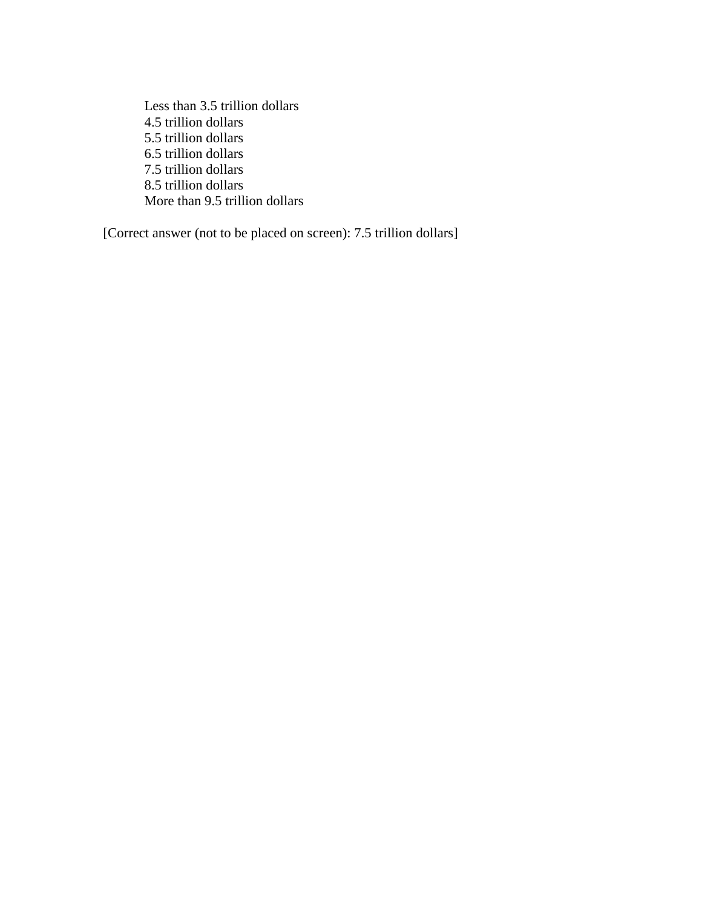Less than 3.5 trillion dollars 4.5 trillion dollars 5.5 trillion dollars 6.5 trillion dollars 7.5 trillion dollars 8.5 trillion dollars More than 9.5 trillion dollars

[Correct answer (not to be placed on screen): 7.5 trillion dollars]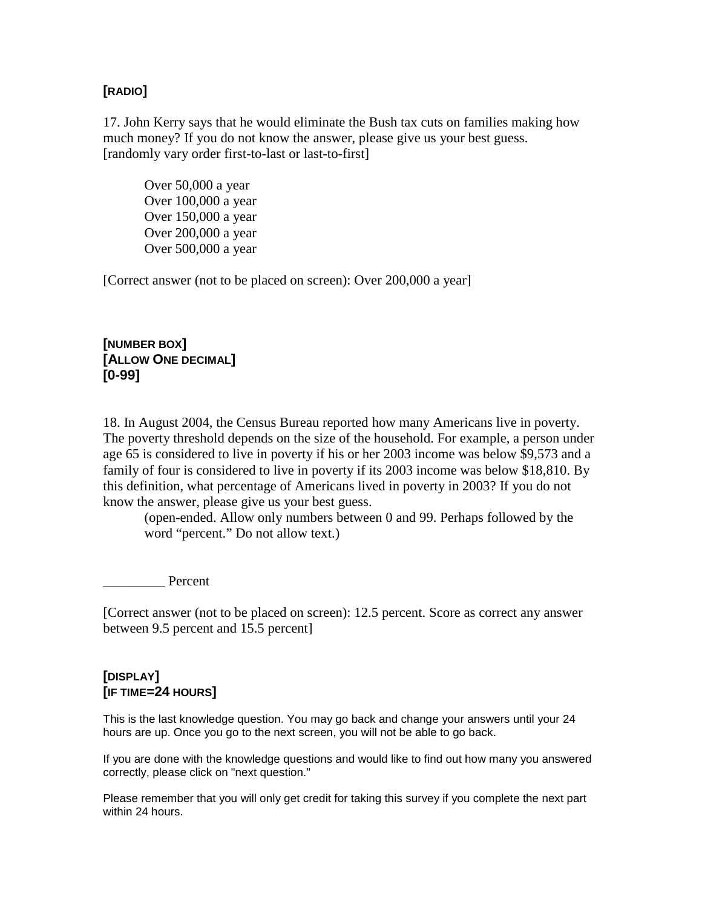17. John Kerry says that he would eliminate the Bush tax cuts on families making how much money? If you do not know the answer, please give us your best guess. [randomly vary order first-to-last or last-to-first]

Over 50,000 a year Over 100,000 a year Over 150,000 a year Over 200,000 a year Over 500,000 a year

[Correct answer (not to be placed on screen): Over 200,000 a year]

**[NUMBER BOX] [ALLOW ONE DECIMAL] [0-99]**

18. In August 2004, the Census Bureau reported how many Americans live in poverty. The poverty threshold depends on the size of the household. For example, a person under age 65 is considered to live in poverty if his or her 2003 income was below \$9,573 and a family of four is considered to live in poverty if its 2003 income was below \$18,810. By this definition, what percentage of Americans lived in poverty in 2003? If you do not know the answer, please give us your best guess.

(open-ended. Allow only numbers between 0 and 99. Perhaps followed by the word "percent." Do not allow text.)

\_\_\_\_\_\_\_\_\_ Percent

[Correct answer (not to be placed on screen): 12.5 percent. Score as correct any answer between 9.5 percent and 15.5 percent]

### **[DISPLAY] [IF TIME=24 HOURS]**

This is the last knowledge question. You may go back and change your answers until your 24 hours are up. Once you go to the next screen, you will not be able to go back.

If you are done with the knowledge questions and would like to find out how many you answered correctly, please click on "next question."

Please remember that you will only get credit for taking this survey if you complete the next part within 24 hours.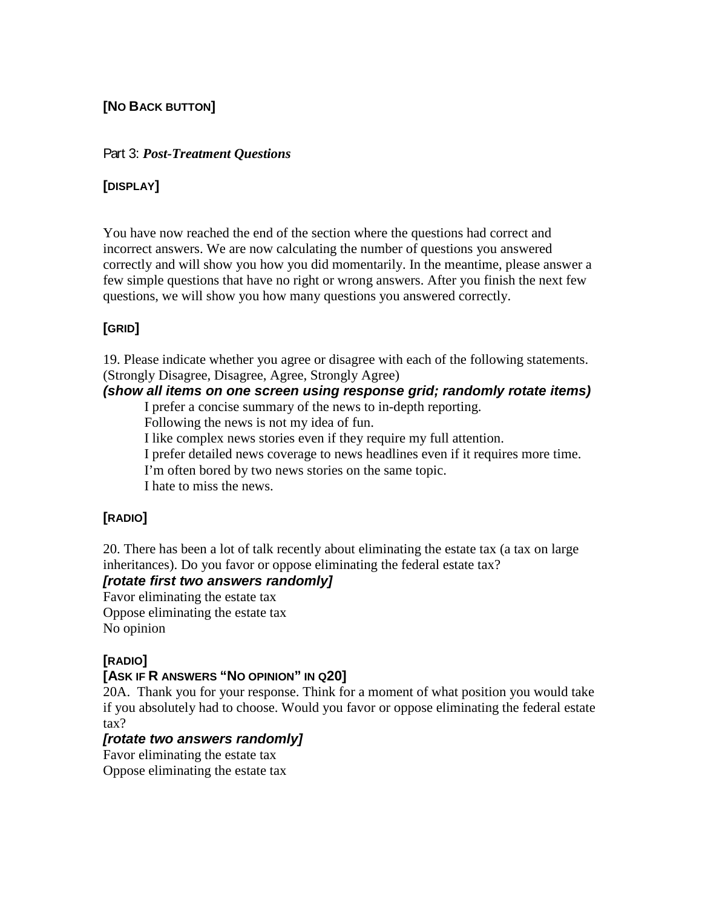# **[NO BACK BUTTON]**

### Part 3: *Post-Treatment Questions*

### **[DISPLAY]**

You have now reached the end of the section where the questions had correct and incorrect answers. We are now calculating the number of questions you answered correctly and will show you how you did momentarily. In the meantime, please answer a few simple questions that have no right or wrong answers. After you finish the next few questions, we will show you how many questions you answered correctly.

## **[GRID]**

19. Please indicate whether you agree or disagree with each of the following statements. (Strongly Disagree, Disagree, Agree, Strongly Agree)

### *(show all items on one screen using response grid; randomly rotate items)*

I prefer a concise summary of the news to in-depth reporting.

Following the news is not my idea of fun.

I like complex news stories even if they require my full attention.

I prefer detailed news coverage to news headlines even if it requires more time.

I'm often bored by two news stories on the same topic.

I hate to miss the news.

# **[RADIO]**

20. There has been a lot of talk recently about eliminating the estate tax (a tax on large inheritances). Do you favor or oppose eliminating the federal estate tax?

## *[rotate first two answers randomly]*

Favor eliminating the estate tax Oppose eliminating the estate tax No opinion

## **[RADIO]**

## **[ASK IF R ANSWERS "NO OPINION" IN Q20]**

20A. Thank you for your response. Think for a moment of what position you would take if you absolutely had to choose. Would you favor or oppose eliminating the federal estate tax?

## *[rotate two answers randomly]*

Favor eliminating the estate tax Oppose eliminating the estate tax